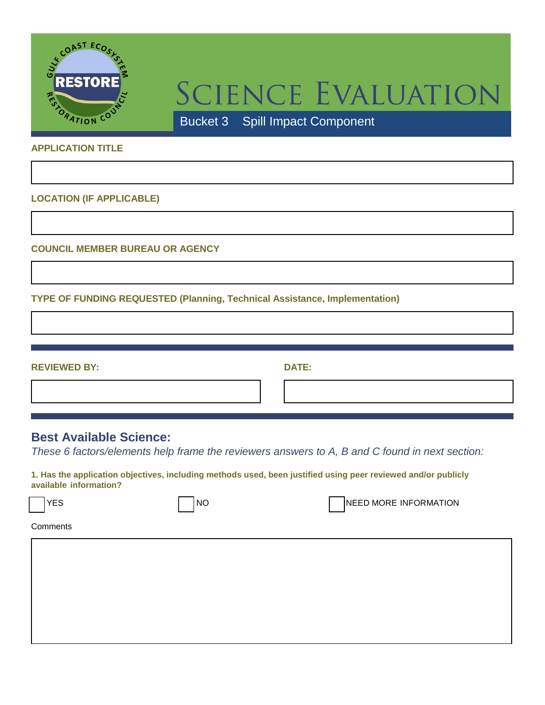

## SCIENCE EVALUATION

Bucket 3 – Spill Impact Component

## **APPLICATION TITLE**

**LOCATION (IF APPLICABLE)**

**COUNCIL MEMBER BUREAU OR AGENCY**

**TYPE OF FUNDING REQUESTED (Planning, Technical Assistance, Implementation)**

**REVIEWED BY: DATE:**

## **Best Available Science:**

*These 6 factors/elements help frame the reviewers answers to A, B and C found in next section:*

**1. Has the application objectives, including methods used, been justified using peer reviewed and/or publicly available information?**

YES NO NO NO NEED MORE INFORMATION

**Comments**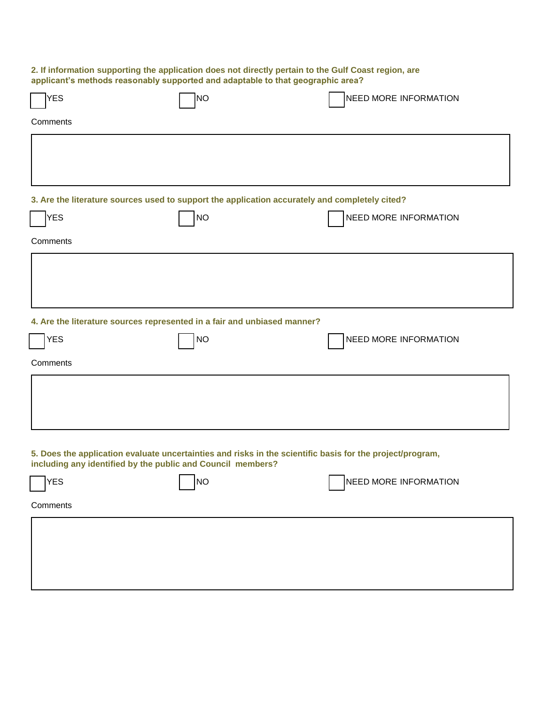| 2. If information supporting the application does not directly pertain to the Gulf Coast region, are<br>applicant's methods reasonably supported and adaptable to that geographic area? |           |                              |  |  |  |
|-----------------------------------------------------------------------------------------------------------------------------------------------------------------------------------------|-----------|------------------------------|--|--|--|
| YES                                                                                                                                                                                     | NO        | NEED MORE INFORMATION        |  |  |  |
| Comments                                                                                                                                                                                |           |                              |  |  |  |
|                                                                                                                                                                                         |           |                              |  |  |  |
|                                                                                                                                                                                         |           |                              |  |  |  |
| 3. Are the literature sources used to support the application accurately and completely cited?                                                                                          |           |                              |  |  |  |
| <b>YES</b>                                                                                                                                                                              | <b>NO</b> | NEED MORE INFORMATION        |  |  |  |
| Comments                                                                                                                                                                                |           |                              |  |  |  |
|                                                                                                                                                                                         |           |                              |  |  |  |
|                                                                                                                                                                                         |           |                              |  |  |  |
|                                                                                                                                                                                         |           |                              |  |  |  |
| 4. Are the literature sources represented in a fair and unbiased manner?                                                                                                                |           |                              |  |  |  |
| <b>YES</b>                                                                                                                                                                              | <b>NO</b> | NEED MORE INFORMATION        |  |  |  |
| Comments                                                                                                                                                                                |           |                              |  |  |  |
|                                                                                                                                                                                         |           |                              |  |  |  |
|                                                                                                                                                                                         |           |                              |  |  |  |
|                                                                                                                                                                                         |           |                              |  |  |  |
| 5. Does the application evaluate uncertainties and risks in the scientific basis for the project/program,<br>including any identified by the public and Council members?                |           |                              |  |  |  |
| <b>YES</b>                                                                                                                                                                              | <b>NO</b> | <b>NEED MORE INFORMATION</b> |  |  |  |
| Comments                                                                                                                                                                                |           |                              |  |  |  |
|                                                                                                                                                                                         |           |                              |  |  |  |
|                                                                                                                                                                                         |           |                              |  |  |  |
|                                                                                                                                                                                         |           |                              |  |  |  |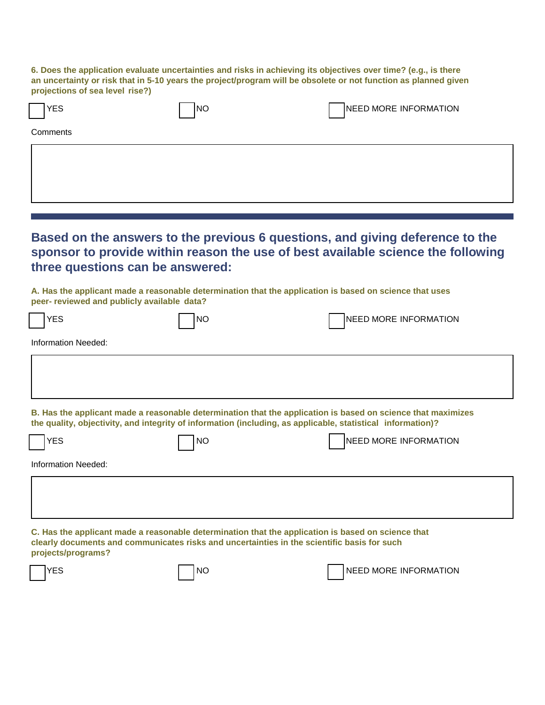**6. Does the application evaluate uncertainties and risks in achieving its objectives over time? (e.g., is there an uncertainty or risk that in 5-10 years the project/program will be obsolete or not function as planned given projections of sea level rise?)**

| <b>YES</b> | <b>INO</b> | NEED MORE INFORMATION |  |  |  |  |
|------------|------------|-----------------------|--|--|--|--|
| Comments   |            |                       |  |  |  |  |
|            |            |                       |  |  |  |  |
|            |            |                       |  |  |  |  |

**Based on the answers to the previous 6 questions, and giving deference to the sponsor to provide within reason the use of best available science the following three questions can be answered:**

**A. Has the applicant made a reasonable determination that the application is based on science that uses peer- reviewed and publicly available data?**

|                                                                                                                                                                                                                             | <b>YES</b> | <b>NO</b> | <b>NEED MORE INFORMATION</b> |  |  |
|-----------------------------------------------------------------------------------------------------------------------------------------------------------------------------------------------------------------------------|------------|-----------|------------------------------|--|--|
| Information Needed:                                                                                                                                                                                                         |            |           |                              |  |  |
|                                                                                                                                                                                                                             |            |           |                              |  |  |
|                                                                                                                                                                                                                             |            |           |                              |  |  |
| B. Has the applicant made a reasonable determination that the application is based on science that maximizes<br>the quality, objectivity, and integrity of information (including, as applicable, statistical information)? |            |           |                              |  |  |
|                                                                                                                                                                                                                             | <b>YES</b> | <b>NO</b> | <b>NEED MORE INFORMATION</b> |  |  |
| Information Needed:                                                                                                                                                                                                         |            |           |                              |  |  |
|                                                                                                                                                                                                                             |            |           |                              |  |  |
|                                                                                                                                                                                                                             |            |           |                              |  |  |
| C. Has the applicant made a reasonable determination that the application is based on science that<br>clearly documents and communicates risks and uncertainties in the scientific basis for such<br>projects/programs?     |            |           |                              |  |  |
|                                                                                                                                                                                                                             | YES        | <b>NO</b> | <b>NEED MORE INFORMATION</b> |  |  |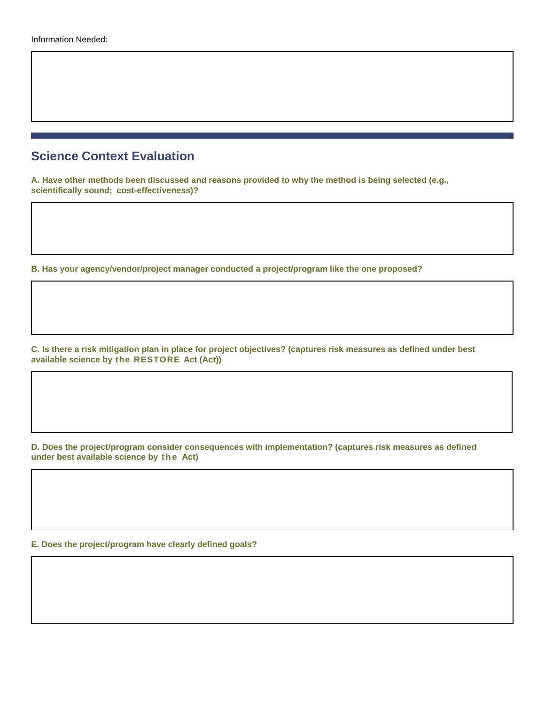## **Science Context Evaluation**

**A. Have other methods been discussed and reasons provided to why the method is being selected (e.g., scientifically sound; cost-effectiveness)?**

**B. Has your agency/vendor/project manager conducted a project/program like the one proposed?**

**C. Is there a risk mitigation plan in place for project objectives? (captures risk measures as defined under best available science by the RESTORE Act (Act))**

**D. Does the project/program consider consequences with implementation? (captures risk measures as defined under best available science by t h e Act)**

**E. Does the project/program have clearly defined goals?**